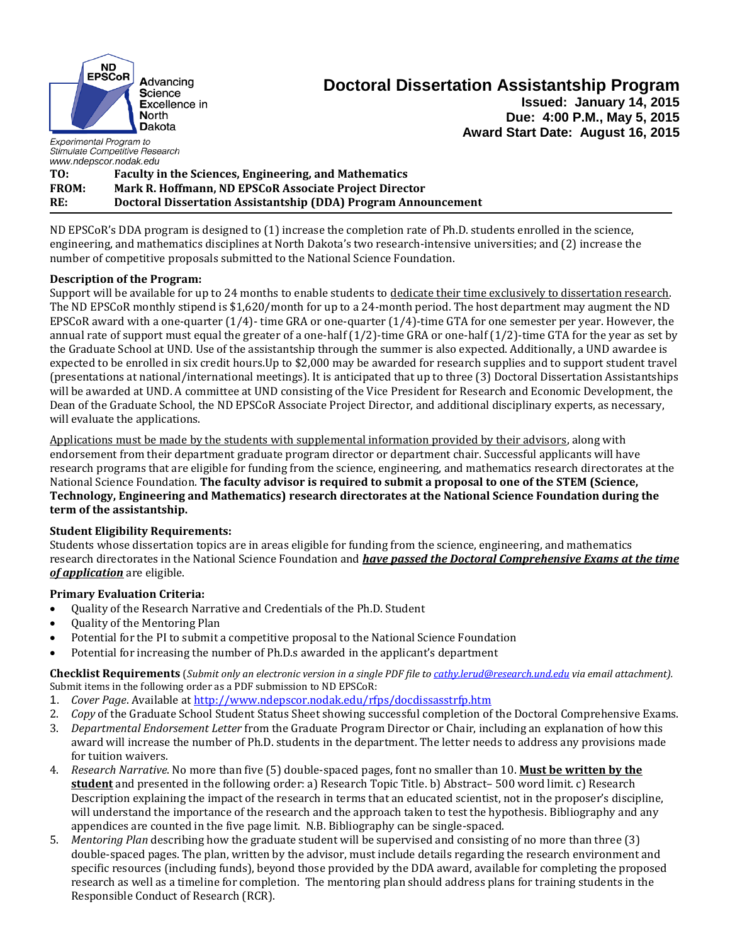

# **Doctoral Dissertation Assistantship Program Issued: January 14, 2015 Due: 4:00 P.M., May 5, 2015 Award Start Date: August 16, 2015**

Experimental Program to Stimulate Competitive Research *www.ndepscor.nodak.edu*

**TO: Faculty in the Sciences, Engineering, and Mathematics FROM: Mark R. Hoffmann, ND EPSCoR Associate Project Director RE: Doctoral Dissertation Assistantship (DDA) Program Announcement**

ND EPSCoR's DDA program is designed to (1) increase the completion rate of Ph.D. students enrolled in the science, engineering, and mathematics disciplines at North Dakota's two research-intensive universities; and (2) increase the number of competitive proposals submitted to the National Science Foundation.

## **Description of the Program:**

Support will be available for up to 24 months to enable students to dedicate their time exclusively to dissertation research. The ND EPSCoR monthly stipend is \$1,620/month for up to a 24-month period. The host department may augment the ND EPSCoR award with a one-quarter (1/4)- time GRA or one-quarter (1/4)-time GTA for one semester per year. However, the annual rate of support must equal the greater of a one-half (1/2)-time GRA or one-half (1/2)-time GTA for the year as set by the Graduate School at UND. Use of the assistantship through the summer is also expected. Additionally, a UND awardee is expected to be enrolled in six credit hours.Up to \$2,000 may be awarded for research supplies and to support student travel (presentations at national/international meetings). It is anticipated that up to three (3) Doctoral Dissertation Assistantships will be awarded at UND. A committee at UND consisting of the Vice President for Research and Economic Development, the Dean of the Graduate School, the ND EPSCoR Associate Project Director, and additional disciplinary experts, as necessary, will evaluate the applications.

Applications must be made by the students with supplemental information provided by their advisors, along with endorsement from their department graduate program director or department chair. Successful applicants will have research programs that are eligible for funding from the science, engineering, and mathematics research directorates at the National Science Foundation. **The faculty advisor is required to submit a proposal to one of the STEM (Science, Technology, Engineering and Mathematics) research directorates at the National Science Foundation during the term of the assistantship.**

## **Student Eligibility Requirements:**

Students whose dissertation topics are in areas eligible for funding from the science, engineering, and mathematics research directorates in the National Science Foundation and *have passed the Doctoral Comprehensive Exams at the time of application* are eligible.

### **Primary Evaluation Criteria:**

- Quality of the Research Narrative and Credentials of the Ph.D. Student
- Quality of the Mentoring Plan
- Potential for the PI to submit a competitive proposal to the National Science Foundation
- Potential for increasing the number of Ph.D.s awarded in the applicant's department

**Checklist Requirements** (*Submit only an electronic version in a single PDF file to [cathy.lerud@research.und.edu](mailto:cathy.lerud@research.und.edu) via email attachment).*  Submit items in the following order as a PDF submission to ND EPSCoR:

- 1. *Cover Page*. Available at<http://www.ndepscor.nodak.edu/rfps/docdissasstrfp.htm>
- 2. *Copy* of the Graduate School Student Status Sheet showing successful completion of the Doctoral Comprehensive Exams.
- 3. *Departmental Endorsement Letter* from the Graduate Program Director or Chair, including an explanation of how this award will increase the number of Ph.D. students in the department. The letter needs to address any provisions made for tuition waivers.
- 4. *Research Narrative*. No more than five (5) double-spaced pages, font no smaller than 10. **Must be written by the student** and presented in the following order: a) Research Topic Title. b) Abstract– 500 word limit. c) Research Description explaining the impact of the research in terms that an educated scientist, not in the proposer's discipline, will understand the importance of the research and the approach taken to test the hypothesis. Bibliography and any appendices are counted in the five page limit. N.B. Bibliography can be single-spaced.
- 5. *Mentoring Plan* describing how the graduate student will be supervised and consisting of no more than three (3) double-spaced pages. The plan, written by the advisor, must include details regarding the research environment and specific resources (including funds), beyond those provided by the DDA award, available for completing the proposed research as well as a timeline for completion. The mentoring plan should address plans for training students in the Responsible Conduct of Research (RCR).